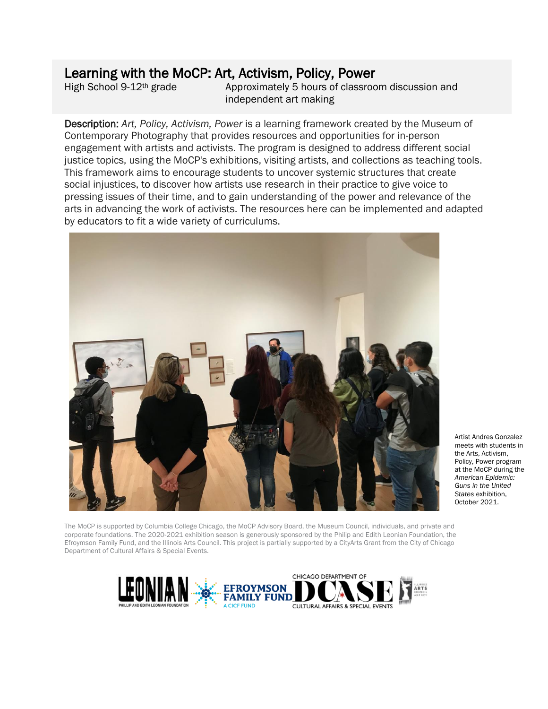## Learning with the MoCP: Art, Activism, Policy, Power

High School 9-12<sup>th</sup> grade Approximately 5 hours of classroom discussion and independent art making

Description: *Art, Policy, Activism, Power* is a learning framework created by the Museum of Contemporary Photography that provides resources and opportunities for in-person engagement with artists and activists. The program is designed to address different social justice topics, using the MoCP's exhibitions, visiting artists, and collections as teaching tools. This framework aims to encourage students to uncover systemic structures that create social injustices, to discover how artists use research in their practice to give voice to pressing issues of their time, and to gain understanding of the power and relevance of the arts in advancing the work of activists. The resources here can be implemented and adapted by educators to fit a wide variety of curriculums.



Artist Andres Gonzalez meets with students in the Arts, Activism, Policy, Power program at the MoCP during the *American Epidemic: Guns in the United States* exhibition, October 2021.

The MoCP is supported by Columbia College Chicago, the MoCP Advisory Board, the Museum Council, individuals, and private and corporate foundations. The 2020-2021 exhibition season is generously sponsored by the Philip and Edith Leonian Foundation, the Efroymson Family Fund, and the Illinois Arts Council. This project is partially supported by a CityArts Grant from the City of Chicago Department of Cultural Affairs & Special Events.

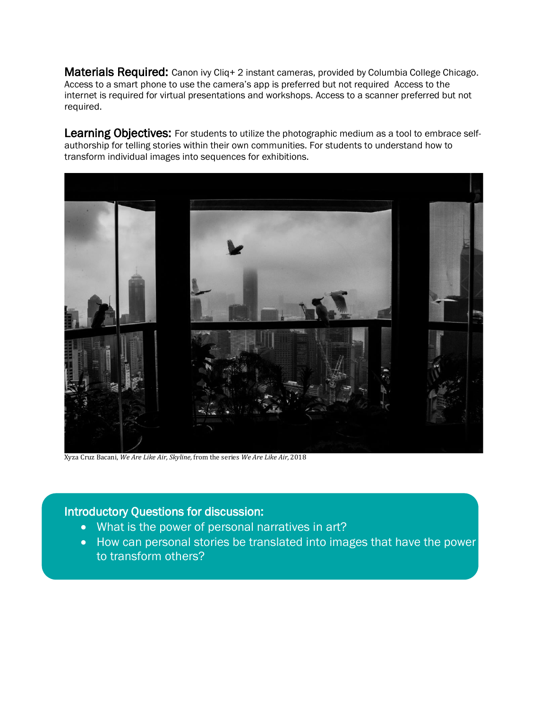Materials Required: Canon ivy Cliq+ 2 instant cameras, provided by Columbia College Chicago. Access to a smart phone to use the camera's app is preferred but not required Access to the internet is required for virtual presentations and workshops. Access to a scanner preferred but not required.

Learning Objectives: For students to utilize the photographic medium as a tool to embrace selfauthorship for telling stories within their own communities. For students to understand how to transform individual images into sequences for exhibitions.



Xyza Cruz Bacani, *We Are Like Air, Skyline,* from the series *We Are Like Air,* 2018

#### Introductory Questions for discussion:

i

Ξ

- What is the power of personal narratives in art?
- How can personal stories be translated into images that have the power to transform others?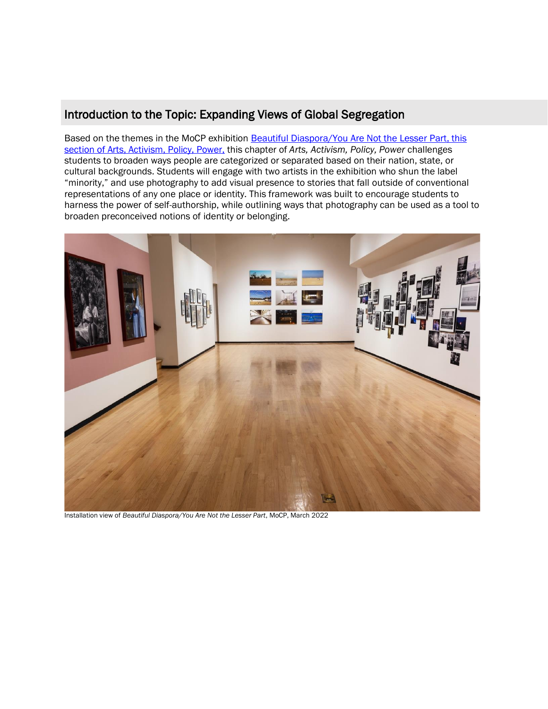### Introduction to the Topic: Expanding Views of Global Segregation

Based on the themes in the MoCP exhibition **Beautiful Diaspora/You Are Not the Lesser Part**, this [section of Arts, Activism, Policy, Power,](https://www.mocp.org/exhibitions/2021/9/beautiful-diaspora-you-are-not-the-lesser-part.php) this chapter of *Arts, Activism, Policy, Power* challenges students to broaden ways people are categorized or separated based on their nation, state, or cultural backgrounds. Students will engage with two artists in the exhibition who shun the label "minority," and use photography to add visual presence to stories that fall outside of conventional representations of any one place or identity. This framework was built to encourage students to harness the power of self-authorship, while outlining ways that photography can be used as a tool to broaden preconceived notions of identity or belonging.



Installation view of *Beautiful Diaspora/You Are Not the Lesser Part*, MoCP, March 2022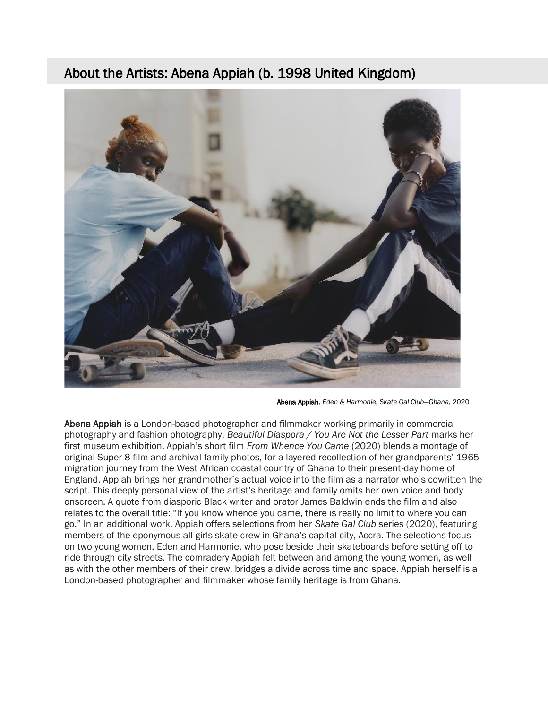# About the Artists: Abena Appiah (b. 1998 United Kingdom)



Abena Appiah, *Eden & Harmonie, Skate Gal Club—Ghana*, 2020

Abena Appiah is a London-based photographer and filmmaker working primarily in commercial photography and fashion photography. *Beautiful Diaspora / You Are Not the Lesser Part* marks her first museum exhibition. Appiah's short film *From Whence You Came* (2020) blends a montage of original Super 8 film and archival family photos, for a layered recollection of her grandparents' 1965 migration journey from the West African coastal country of Ghana to their present-day home of England. Appiah brings her grandmother's actual voice into the film as a narrator who's cowritten the script. This deeply personal view of the artist's heritage and family omits her own voice and body onscreen. A quote from diasporic Black writer and orator James Baldwin ends the film and also relates to the overall title: "If you know whence you came, there is really no limit to where you can go." In an additional work, Appiah offers selections from her *Skate Gal Club* series (2020), featuring members of the eponymous all-girls skate crew in Ghana's capital city, Accra. The selections focus on two young women, Eden and Harmonie, who pose beside their skateboards before setting off to ride through city streets. The comradery Appiah felt between and among the young women, as well as with the other members of their crew, bridges a divide across time and space. Appiah herself is a London-based photographer and filmmaker whose family heritage is from Ghana.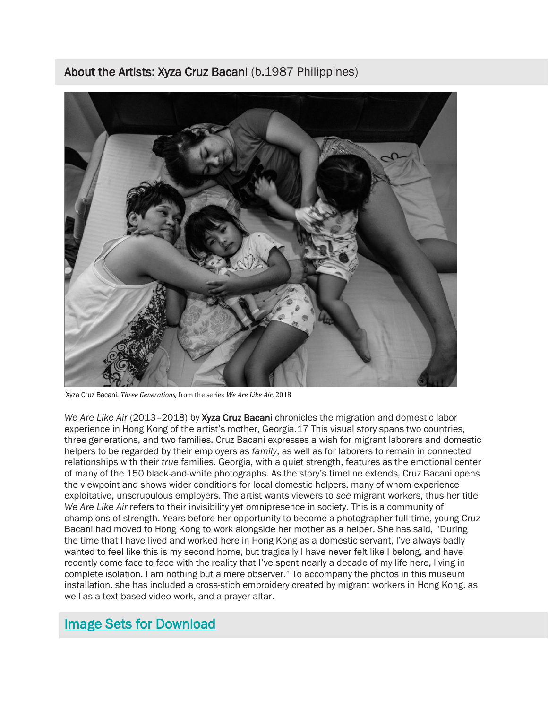About the Artists: Xyza Cruz Bacani (b.1987 Philippines)



Xyza Cruz Bacani, *Three Generations,* from the series *We Are Like Air,* 2018

*We Are Like Air* (2013–2018) by Xyza Cruz Bacani chronicles the migration and domestic labor experience in Hong Kong of the artist's mother, Georgia.17 This visual story spans two countries, three generations, and two families. Cruz Bacani expresses a wish for migrant laborers and domestic helpers to be regarded by their employers as *family*, as well as for laborers to remain in connected relationships with their *true* families. Georgia, with a quiet strength, features as the emotional center of many of the 150 black-and-white photographs. As the story's timeline extends, Cruz Bacani opens the viewpoint and shows wider conditions for local domestic helpers, many of whom experience exploitative, unscrupulous employers. The artist wants viewers to *see* migrant workers, thus her title *We Are Like Air* refers to their invisibility yet omnipresence in society. This is a community of champions of strength. Years before her opportunity to become a photographer full-time, young Cruz Bacani had moved to Hong Kong to work alongside her mother as a helper. She has said, "During the time that I have lived and worked here in Hong Kong as a domestic servant, I've always badly wanted to feel like this is my second home, but tragically I have never felt like I belong, and have recently come face to face with the reality that I've spent nearly a decade of my life here, living in complete isolation. I am nothing but a mere observer." To accompany the photos in this museum installation, she has included a cross-stich embroidery created by migrant workers in Hong Kong, as well as a text-based video work, and a prayer altar.

# [Image Sets for Download](https://www.dropbox.com/sh/pg7msjxst4q8ykw/AABHe6LbEGmxeQ1Kt6ia_SBfa?dl=0)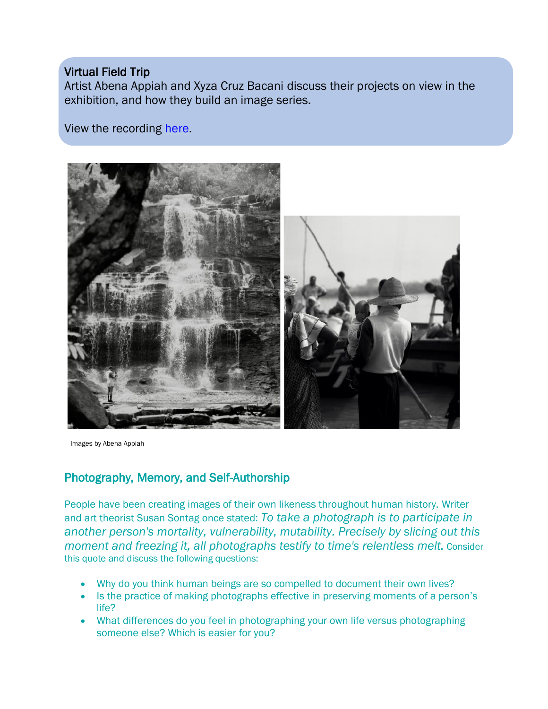## Virtual Field Trip

ļ

Artist Abena Appiah and Xyza Cruz Bacani discuss their projects on view in the exhibition, and how they build an image series.

View the recording [here.](https://vimeo.com/700855153/319a90fd13)



Images by Abena Appiah

## Photography, Memory, and Self-Authorship

People have been creating images of their own likeness throughout human history. Writer and art theorist Susan Sontag once stated: *To take a photograph is to participate in another person's mortality, vulnerability, mutability. Precisely by slicing out this moment and freezing it, all photographs testify to time's relentless melt.* Consider this quote and discuss the following questions:

- Why do you think human beings are so compelled to document their own lives?
- Is the practice of making photographs effective in preserving moments of a person's life?
- What differences do you feel in photographing your own life versus photographing someone else? Which is easier for you?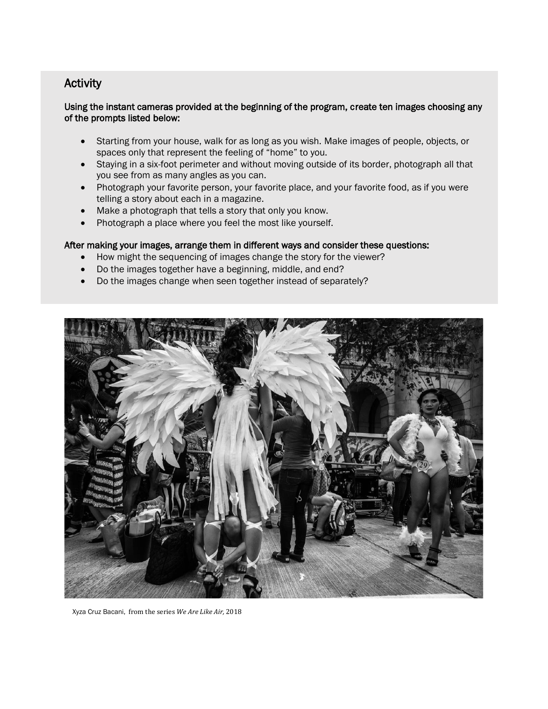#### Activity

#### Using the instant cameras provided at the beginning of the program, create ten images choosing any of the prompts listed below:

- Starting from your house, walk for as long as you wish. Make images of people, objects, or spaces only that represent the feeling of "home" to you.
- Staying in a six-foot perimeter and without moving outside of its border, photograph all that you see from as many angles as you can.
- Photograph your favorite person, your favorite place, and your favorite food, as if you were telling a story about each in a magazine.
- Make a photograph that tells a story that only you know.
- Photograph a place where you feel the most like yourself.

#### After making your images, arrange them in different ways and consider these questions:

- How might the sequencing of images change the story for the viewer?
- Do the images together have a beginning, middle, and end?
- Do the images change when seen together instead of separately?



Xyza Cruz Bacani, from the series *We Are Like Air,* 2018